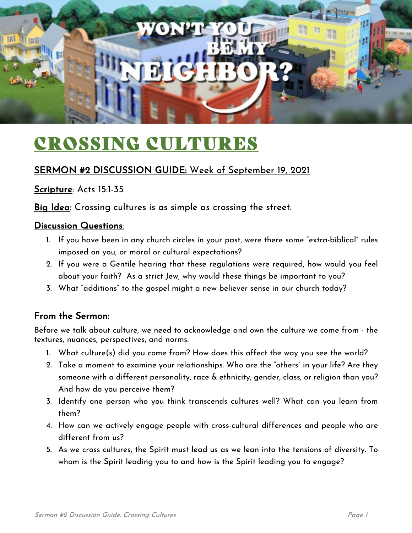

# CROSSING CULTURES

### SERMON #2 DISCUSSION GUIDE: Week of September 19, 2021

Scripture: Acts 15:1-35

Big Idea: Crossing cultures is as simple as crossing the street.

#### Discussion Questions:

- 1. If you have been in any church circles in your past, were there some "extra-biblical" rules imposed on you, or moral or cultural expectations?
- 2. If you were a Gentile hearing that these regulations were required, how would you feel about your faith? As a strict Jew, why would these things be important to you?
- 3. What "additions" to the gospel might a new believer sense in our church today?

#### From the Sermon:

Before we talk about culture, we need to acknowledge and own the culture we come from - the textures, nuances, perspectives, and norms.

- 1. What culture(s) did you come from? How does this affect the way you see the world?
- 2. Take a moment to examine your relationships. Who are the "others" in your life? Are they someone with a different personality, race & ethnicity, gender, class, or religion than you? And how do you perceive them?
- 3. Identify one person who you think transcends cultures well? What can you learn from them?
- 4. How can we actively engage people with cross-cultural differences and people who are different from us?
- 5. As we cross cultures, the Spirit must lead us as we lean into the tensions of diversity. To whom is the Spirit leading you to and how is the Spirit leading you to engage?